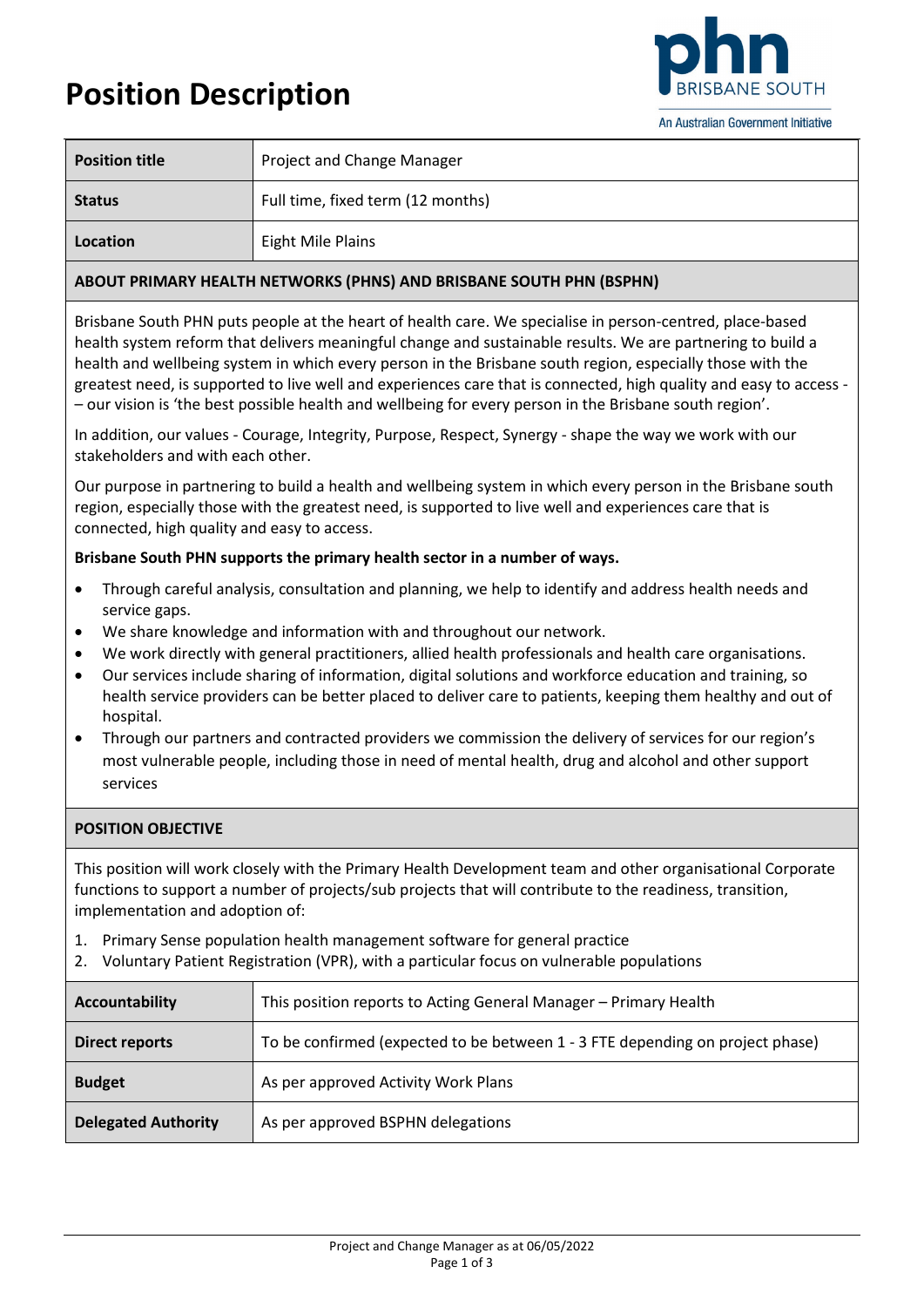## **Position Description**



| <b>Position title</b> | Project and Change Manager        |
|-----------------------|-----------------------------------|
| <b>Status</b>         | Full time, fixed term (12 months) |
| Location              | Eight Mile Plains                 |

### **ABOUT PRIMARY HEALTH NETWORKS (PHNS) AND BRISBANE SOUTH PHN (BSPHN)**

Brisbane South PHN puts people at the heart of health care. We specialise in person-centred, place-based health system reform that delivers meaningful change and sustainable results. We are partnering to build a health and wellbeing system in which every person in the Brisbane south region, especially those with the greatest need, is supported to live well and experiences care that is connected, high quality and easy to access - – our vision is 'the best possible health and wellbeing for every person in the Brisbane south region'.

In addition, our values - Courage, Integrity, Purpose, Respect, Synergy - shape the way we work with our stakeholders and with each other.

Our purpose in partnering to build a health and wellbeing system in which every person in the Brisbane south region, especially those with the greatest need, is supported to live well and experiences care that is connected, high quality and easy to access.

### **Brisbane South PHN supports the primary health sector in a number of ways.**

- Through careful analysis, consultation and planning, we help to identify and address health needs and service gaps.
- We share knowledge and information with and throughout our network.
- We work directly with general practitioners, allied health professionals and health care organisations.
- Our services include sharing of information, digital solutions and workforce education and training, so health service providers can be better placed to deliver care to patients, keeping them healthy and out of hospital.
- Through our partners and contracted providers we commission the delivery of services for our region's most vulnerable people, including those in need of mental health, drug and alcohol and other support services

#### **POSITION OBJECTIVE**

This position will work closely with the Primary Health Development team and other organisational Corporate functions to support a number of projects/sub projects that will contribute to the readiness, transition, implementation and adoption of:

- 1. Primary Sense population health management software for general practice
- 2. Voluntary Patient Registration (VPR), with a particular focus on vulnerable populations

| <b>Accountability</b>      | This position reports to Acting General Manager - Primary Health              |  |
|----------------------------|-------------------------------------------------------------------------------|--|
| <b>Direct reports</b>      | To be confirmed (expected to be between 1 - 3 FTE depending on project phase) |  |
| <b>Budget</b>              | As per approved Activity Work Plans                                           |  |
| <b>Delegated Authority</b> | As per approved BSPHN delegations                                             |  |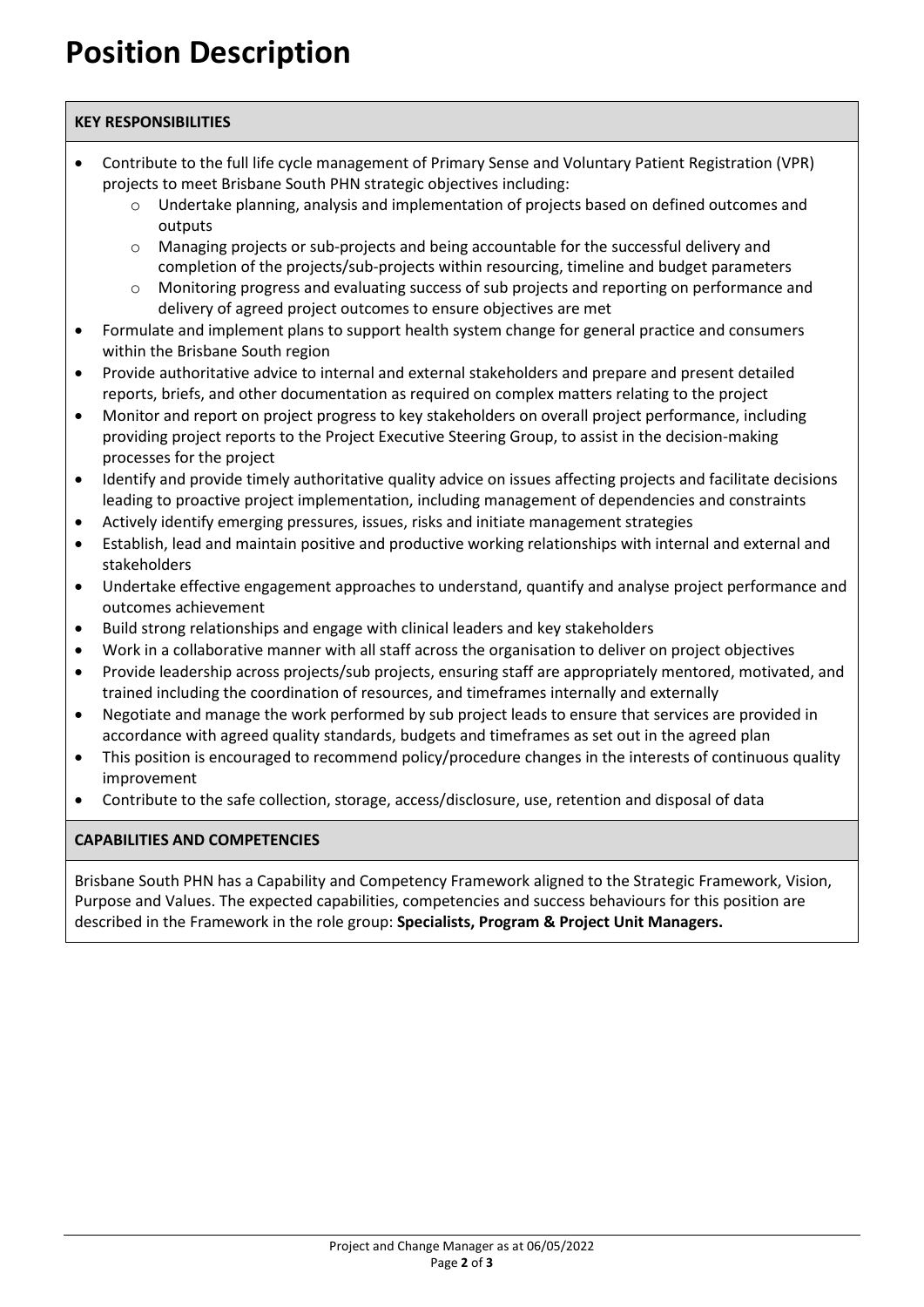# **Position Description**

### **KEY RESPONSIBILITIES**

- Contribute to the full life cycle management of Primary Sense and Voluntary Patient Registration (VPR) projects to meet Brisbane South PHN strategic objectives including:
	- o Undertake planning, analysis and implementation of projects based on defined outcomes and outputs
	- o Managing projects or sub-projects and being accountable for the successful delivery and completion of the projects/sub-projects within resourcing, timeline and budget parameters
	- o Monitoring progress and evaluating success of sub projects and reporting on performance and delivery of agreed project outcomes to ensure objectives are met
- Formulate and implement plans to support health system change for general practice and consumers within the Brisbane South region
- Provide authoritative advice to internal and external stakeholders and prepare and present detailed reports, briefs, and other documentation as required on complex matters relating to the project
- Monitor and report on project progress to key stakeholders on overall project performance, including providing project reports to the Project Executive Steering Group, to assist in the decision-making processes for the project
- Identify and provide timely authoritative quality advice on issues affecting projects and facilitate decisions leading to proactive project implementation, including management of dependencies and constraints
- Actively identify emerging pressures, issues, risks and initiate management strategies
- Establish, lead and maintain positive and productive working relationships with internal and external and stakeholders
- Undertake effective engagement approaches to understand, quantify and analyse project performance and outcomes achievement
- Build strong relationships and engage with clinical leaders and key stakeholders
- Work in a collaborative manner with all staff across the organisation to deliver on project objectives
- Provide leadership across projects/sub projects, ensuring staff are appropriately mentored, motivated, and trained including the coordination of resources, and timeframes internally and externally
- Negotiate and manage the work performed by sub project leads to ensure that services are provided in accordance with agreed quality standards, budgets and timeframes as set out in the agreed plan
- This position is encouraged to recommend policy/procedure changes in the interests of continuous quality improvement
- Contribute to the safe collection, storage, access/disclosure, use, retention and disposal of data

### **CAPABILITIES AND COMPETENCIES**

Brisbane South PHN has a Capability and Competency Framework aligned to the Strategic Framework, Vision, Purpose and Values. The expected capabilities, competencies and success behaviours for this position are described in the Framework in the role group: **Specialists, Program & Project Unit Managers.**